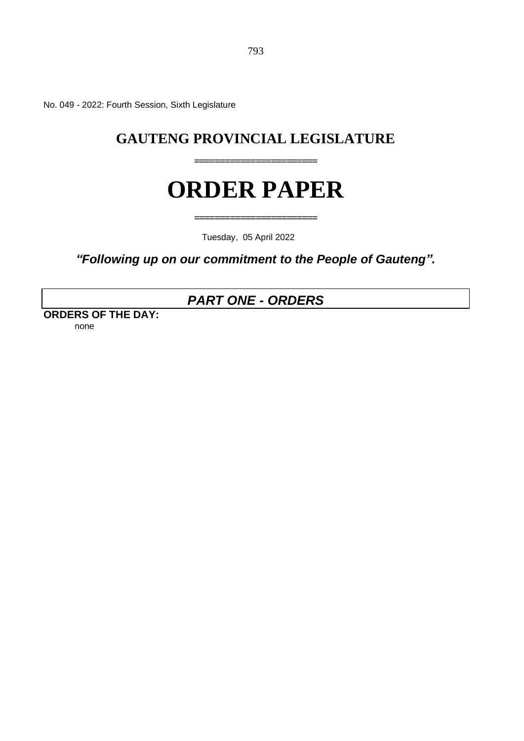No. 049 - 2022: Fourth Session, Sixth Legislature

# **GAUTENG PROVINCIAL LEGISLATURE**

**========================**

# **ORDER PAPER**

**========================**

Tuesday, 05 April 2022

*"Following up on our commitment to the People of Gauteng".* 

# *PART ONE - ORDERS*

**ORDERS OF THE DAY:** none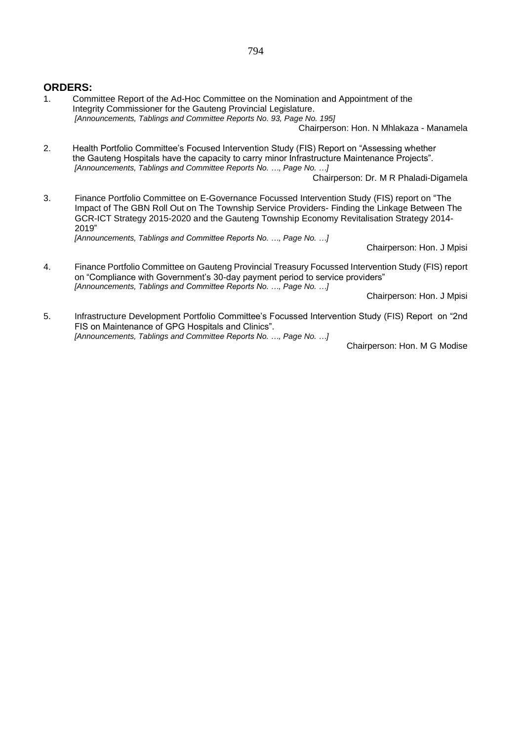# **ORDERS:**

1. Committee Report of the Ad-Hoc Committee on the Nomination and Appointment of the Integrity Commissioner for the Gauteng Provincial Legislature. *[Announcements, Tablings and Committee Reports No. 93, Page No. 195]*

Chairperson: Hon. N Mhlakaza - Manamela

2. Health Portfolio Committee's Focused Intervention Study (FIS) Report on "Assessing whether the Gauteng Hospitals have the capacity to carry minor Infrastructure Maintenance Projects". *[Announcements, Tablings and Committee Reports No. …, Page No. …]*

Chairperson: Dr. M R Phaladi-Digamela

3. Finance Portfolio Committee on E-Governance Focussed Intervention Study (FIS) report on "The Impact of The GBN Roll Out on The Township Service Providers- Finding the Linkage Between The GCR-ICT Strategy 2015-2020 and the Gauteng Township Economy Revitalisation Strategy 2014- 2019" *[Announcements, Tablings and Committee Reports No. …, Page No. …]*

Chairperson: Hon. J Mpisi

4. Finance Portfolio Committee on Gauteng Provincial Treasury Focussed Intervention Study (FIS) report on "Compliance with Government's 30-day payment period to service providers" *[Announcements, Tablings and Committee Reports No. …, Page No. …]*

Chairperson: Hon. J Mpisi

5. Infrastructure Development Portfolio Committee's Focussed Intervention Study (FIS) Report on "2nd FIS on Maintenance of GPG Hospitals and Clinics". *[Announcements, Tablings and Committee Reports No. …, Page No. …]*

Chairperson: Hon. M G Modise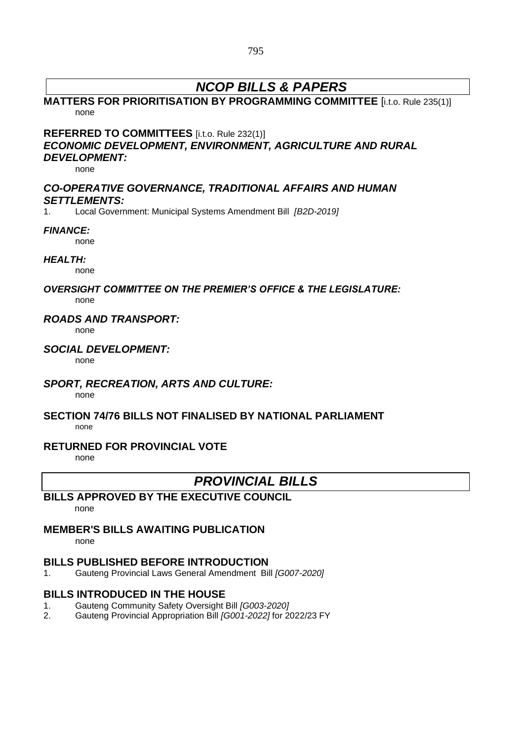# *NCOP BILLS & PAPERS*

# **MATTERS FOR PRIORITISATION BY PROGRAMMING COMMITTEE** [i.t.o. Rule 235(1)] none

## **REFERRED TO COMMITTEES** [i.t.o. Rule 232(1)] *ECONOMIC DEVELOPMENT, ENVIRONMENT, AGRICULTURE AND RURAL DEVELOPMENT:*

none

### *CO-OPERATIVE GOVERNANCE, TRADITIONAL AFFAIRS AND HUMAN SETTLEMENTS:*

1. Local Government: Municipal Systems Amendment Bill *[B2D-2019]*

#### *FINANCE:*

none

#### *HEALTH:*

none

# *OVERSIGHT COMMITTEE ON THE PREMIER'S OFFICE & THE LEGISLATURE:*

none

### *ROADS AND TRANSPORT:*

none

### *SOCIAL DEVELOPMENT:*

none

### *SPORT, RECREATION, ARTS AND CULTURE:*

none

#### **SECTION 74/76 BILLS NOT FINALISED BY NATIONAL PARLIAMENT** none

### **RETURNED FOR PROVINCIAL VOTE**

none

# *PROVINCIAL BILLS*

# **BILLS APPROVED BY THE EXECUTIVE COUNCIL**

none

# **MEMBER'S BILLS AWAITING PUBLICATION**

none

# **BILLS PUBLISHED BEFORE INTRODUCTION**

1. Gauteng Provincial Laws General Amendment Bill *[G007-2020]*

# **BILLS INTRODUCED IN THE HOUSE**

- 1. Gauteng Community Safety Oversight Bill *[G003-2020]*
- 2. Gauteng Provincial Appropriation Bill *[G001-2022]* for 2022/23 FY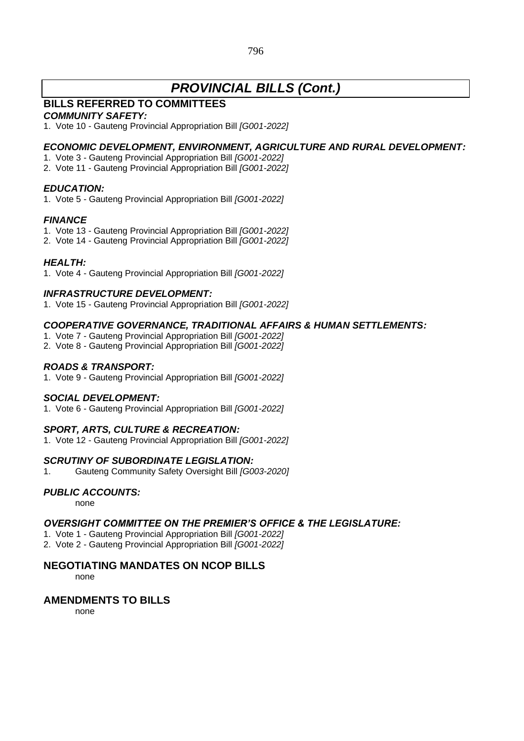# *PROVINCIAL BILLS (Cont.)*

# **BILLS REFERRED TO COMMITTEES**

### *COMMUNITY SAFETY:*

1. Vote 10 - Gauteng Provincial Appropriation Bill *[G001-2022]*

### *ECONOMIC DEVELOPMENT, ENVIRONMENT, AGRICULTURE AND RURAL DEVELOPMENT:*

- 1. Vote 3 Gauteng Provincial Appropriation Bill *[G001-2022]*
- 2. Vote 11 Gauteng Provincial Appropriation Bill *[G001-2022]*

### *EDUCATION:*

1. Vote 5 - Gauteng Provincial Appropriation Bill *[G001-2022]*

### *FINANCE*

- 1. Vote 13 Gauteng Provincial Appropriation Bill *[G001-2022]*
- 2. Vote 14 Gauteng Provincial Appropriation Bill *[G001-2022]*

### *HEALTH:*

1. Vote 4 - Gauteng Provincial Appropriation Bill *[G001-2022]*

### *INFRASTRUCTURE DEVELOPMENT:*

1. Vote 15 - Gauteng Provincial Appropriation Bill *[G001-2022]*

### *COOPERATIVE GOVERNANCE, TRADITIONAL AFFAIRS & HUMAN SETTLEMENTS:*

- 1. Vote 7 Gauteng Provincial Appropriation Bill *[G001-2022]*
- 2. Vote 8 Gauteng Provincial Appropriation Bill *[G001-2022]*

### *ROADS & TRANSPORT:*

1. Vote 9 - Gauteng Provincial Appropriation Bill *[G001-2022]*

### *SOCIAL DEVELOPMENT:*

1. Vote 6 - Gauteng Provincial Appropriation Bill *[G001-2022]*

### *SPORT, ARTS, CULTURE & RECREATION:*

1. Vote 12 - Gauteng Provincial Appropriation Bill *[G001-2022]*

### *SCRUTINY OF SUBORDINATE LEGISLATION:*

1. Gauteng Community Safety Oversight Bill *[G003-2020]*

### *PUBLIC ACCOUNTS:*

none

### *OVERSIGHT COMMITTEE ON THE PREMIER'S OFFICE & THE LEGISLATURE:*

1. Vote 1 - Gauteng Provincial Appropriation Bill *[G001-2022]*

2. Vote 2 - Gauteng Provincial Appropriation Bill *[G001-2022]*

### **NEGOTIATING MANDATES ON NCOP BILLS**

none

### **AMENDMENTS TO BILLS**

none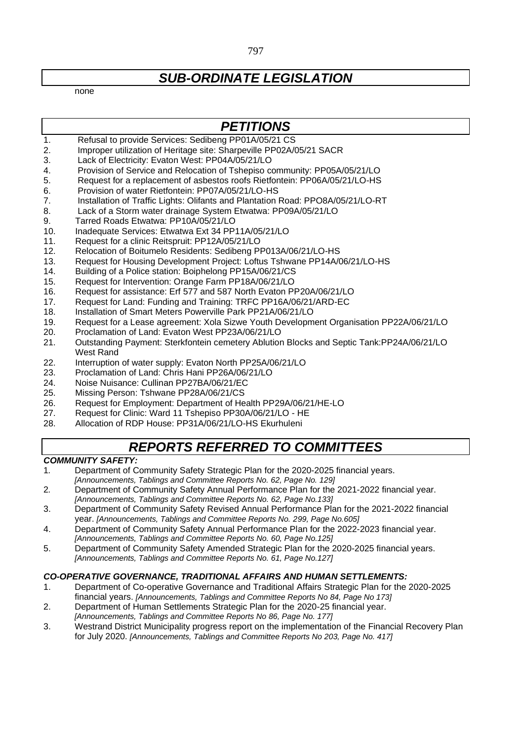# *SUB-ORDINATE LEGISLATION*

none

# *PETITIONS*

- 1. Refusal to provide Services: Sedibeng PP01A/05/21 CS
- 2. Improper utilization of Heritage site: Sharpeville PP02A/05/21 SACR
- 3. Lack of Electricity: Evaton West: PP04A/05/21/LO
- 4. Provision of Service and Relocation of Tshepiso community: PP05A/05/21/LO
- 5. Request for a replacement of asbestos roofs Rietfontein: PP06A/05/21/LO-HS
- 6. Provision of water Rietfontein: PP07A/05/21/LO-HS
- 7. Installation of Traffic Lights: Olifants and Plantation Road: PPO8A/05/21/LO-RT
- 8. Lack of a Storm water drainage System Etwatwa: PP09A/05/21/LO
- 9. Tarred Roads Etwatwa: PP10A/05/21/LO
- 10. Inadequate Services: Etwatwa Ext 34 PP11A/05/21/LO
- 11. Request for a clinic Reitspruit: PP12A/05/21/LO
- 12. Relocation of Boitumelo Residents: Sedibeng PP013A/06/21/LO-HS
- 13. Request for Housing Development Project: Loftus Tshwane PP14A/06/21/LO-HS
- 14. Building of a Police station: Boiphelong PP15A/06/21/CS
- 15. Request for Intervention: Orange Farm PP18A/06/21/LO
- 16. Request for assistance: Erf 577 and 587 North Evaton PP20A/06/21/LO
- 17. Request for Land: Funding and Training: TRFC PP16A/06/21/ARD-EC
- 18. Installation of Smart Meters Powerville Park PP21A/06/21/LO
- 19. Request for a Lease agreement: Xola Sizwe Youth Development Organisation PP22A/06/21/LO<br>20. Proclamation of Land: Evaton West PP23A/06/21/LO
- Proclamation of Land: Evaton West PP23A/06/21/LO
- 21. Outstanding Payment: Sterkfontein cemetery Ablution Blocks and Septic Tank:PP24A/06/21/LO West Rand
- 22. Interruption of water supply: Evaton North PP25A/06/21/LO
- 23. Proclamation of Land: Chris Hani PP26A/06/21/LO
- 24. Noise Nuisance: Cullinan PP27BA/06/21/EC
- 25. Missing Person: Tshwane PP28A/06/21/CS
- 26. Request for Employment: Department of Health PP29A/06/21/HE-LO
- 27. Request for Clinic: Ward 11 Tshepiso PP30A/06/21/LO HE
- 28. Allocation of RDP House: PP31A/06/21/LO-HS Ekurhuleni

# *REPORTS REFERRED TO COMMITTEES*

### *COMMUNITY SAFETY:*

- 1*.* Department of Community Safety Strategic Plan for the 2020-2025 financial years. *[Announcements, Tablings and Committee Reports No. 62, Page No. 129]*
- 2*.* Department of Community Safety Annual Performance Plan for the 2021-2022 financial year.
- *[Announcements, Tablings and Committee Reports No. 62, Page No.133]*
- 3. Department of Community Safety Revised Annual Performance Plan for the 2021-2022 financial year. *[Announcements, Tablings and Committee Reports No. 299, Page No.605]*
- 4. Department of Community Safety Annual Performance Plan for the 2022-2023 financial year. *[Announcements, Tablings and Committee Reports No. 60, Page No.125]*
- 5. Department of Community Safety Amended Strategic Plan for the 2020-2025 financial years. *[Announcements, Tablings and Committee Reports No. 61, Page No.127]*

# *CO-OPERATIVE GOVERNANCE, TRADITIONAL AFFAIRS AND HUMAN SETTLEMENTS:*

- 1. Department of Co-operative Governance and Traditional Affairs Strategic Plan for the 2020-2025 financial years. *[Announcements, Tablings and Committee Reports No 84, Page No 173]*
- 2. Department of Human Settlements Strategic Plan for the 2020-25 financial year. *[Announcements, Tablings and Committee Reports No 86, Page No. 177]*
- 3. Westrand District Municipality progress report on the implementation of the Financial Recovery Plan for July 2020. *[Announcements, Tablings and Committee Reports No 203, Page No. 417]*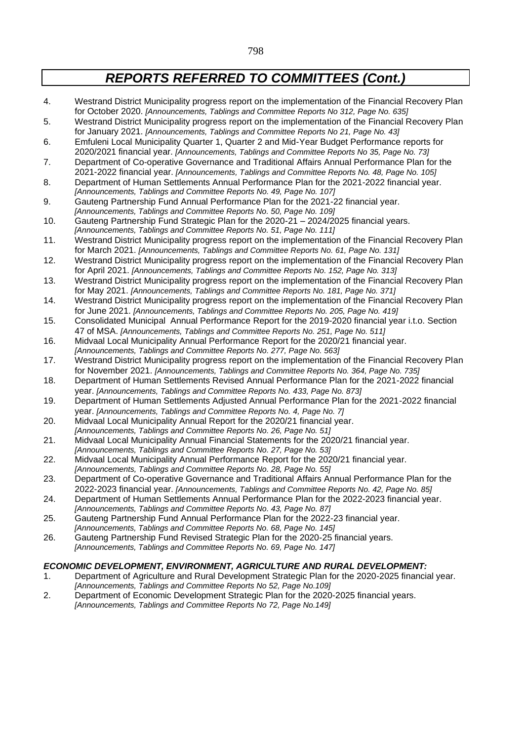- 4. Westrand District Municipality progress report on the implementation of the Financial Recovery Plan for October 2020. *[Announcements, Tablings and Committee Reports No 312, Page No. 635]*
- 5. Westrand District Municipality progress report on the implementation of the Financial Recovery Plan for January 2021. *[Announcements, Tablings and Committee Reports No 21, Page No. 43]*
- 6. Emfuleni Local Municipality Quarter 1, Quarter 2 and Mid-Year Budget Performance reports for 2020/2021 financial year. *[Announcements, Tablings and Committee Reports No 35, Page No. 73]*
- 7. Department of Co-operative Governance and Traditional Affairs Annual Performance Plan for the 2021-2022 financial year. *[Announcements, Tablings and Committee Reports No. 48, Page No. 105]*
- 8. Department of Human Settlements Annual Performance Plan for the 2021-2022 financial year.
- *[Announcements, Tablings and Committee Reports No. 49, Page No. 107]* 9. Gauteng Partnership Fund Annual Performance Plan for the 2021-22 financial year.
- *[Announcements, Tablings and Committee Reports No. 50, Page No. 109]*
- 10. Gauteng Partnership Fund Strategic Plan for the 2020-21 2024/2025 financial years. *[Announcements, Tablings and Committee Reports No. 51, Page No. 111]*
- 11. Westrand District Municipality progress report on the implementation of the Financial Recovery Plan for March 2021. *[Announcements, Tablings and Committee Reports No. 61, Page No. 131]*
- 12. Westrand District Municipality progress report on the implementation of the Financial Recovery Plan for April 2021. *[Announcements, Tablings and Committee Reports No. 152, Page No. 313]*
- 13. Westrand District Municipality progress report on the implementation of the Financial Recovery Plan for May 2021. *[Announcements, Tablings and Committee Reports No. 181, Page No. 371]*
- 14. Westrand District Municipality progress report on the implementation of the Financial Recovery Plan for June 2021. *[Announcements, Tablings and Committee Reports No. 205, Page No. 419]*
- 15. Consolidated Municipal Annual Performance Report for the 2019-2020 financial year i.t.o. Section 47 of MSA. *[Announcements, Tablings and Committee Reports No. 251, Page No. 511]*
- 16. Midvaal Local Municipality Annual Performance Report for the 2020/21 financial year. *[Announcements, Tablings and Committee Reports No. 277, Page No. 563]*
- 17. Westrand District Municipality progress report on the implementation of the Financial Recovery Plan for November 2021. *[Announcements, Tablings and Committee Reports No. 364, Page No. 735]*
- 18. Department of Human Settlements Revised Annual Performance Plan for the 2021-2022 financial year. *[Announcements, Tablings and Committee Reports No. 433, Page No. 873]*
- 19. Department of Human Settlements Adjusted Annual Performance Plan for the 2021-2022 financial year. *[Announcements, Tablings and Committee Reports No. 4, Page No. 7]*
- 20. Midvaal Local Municipality Annual Report for the 2020/21 financial year.
- *[Announcements, Tablings and Committee Reports No. 26, Page No. 51]*
- 21. Midvaal Local Municipality Annual Financial Statements for the 2020/21 financial year. *[Announcements, Tablings and Committee Reports No. 27, Page No. 53]*
- 22. Midvaal Local Municipality Annual Performance Report for the 2020/21 financial year. *[Announcements, Tablings and Committee Reports No. 28, Page No. 55]*
- 23. Department of Co-operative Governance and Traditional Affairs Annual Performance Plan for the 2022-2023 financial year. *[Announcements, Tablings and Committee Reports No. 42, Page No. 85]*
- 24. Department of Human Settlements Annual Performance Plan for the 2022-2023 financial year. *[Announcements, Tablings and Committee Reports No. 43, Page No. 87]*
- 25. Gauteng Partnership Fund Annual Performance Plan for the 2022-23 financial year. *[Announcements, Tablings and Committee Reports No. 68, Page No. 145]*
- 26. Gauteng Partnership Fund Revised Strategic Plan for the 2020-25 financial years. *[Announcements, Tablings and Committee Reports No. 69, Page No. 147]*

### *ECONOMIC DEVELOPMENT, ENVIRONMENT, AGRICULTURE AND RURAL DEVELOPMENT:*

- 1. Department of Agriculture and Rural Development Strategic Plan for the 2020-2025 financial year. *[Announcements, Tablings and Committee Reports No 52, Page No.109]*
- 2. Department of Economic Development Strategic Plan for the 2020-2025 financial years. *[Announcements, Tablings and Committee Reports No 72, Page No.149]*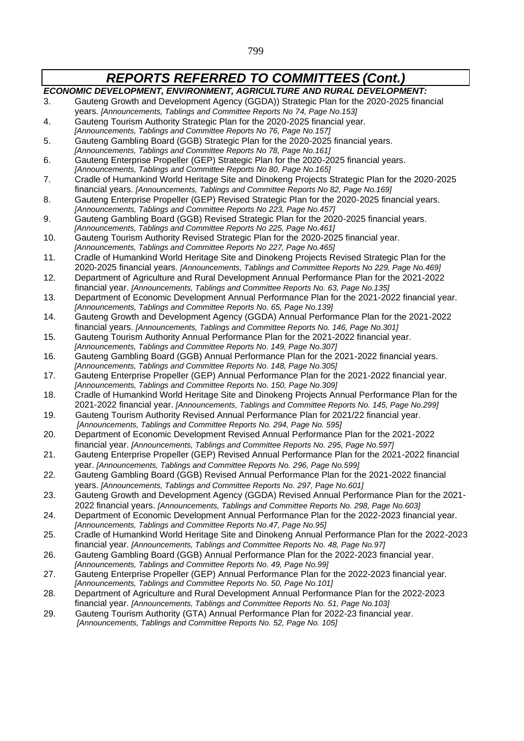$\mathbf l$ 

 $\sqrt{ }$ 

| ECONOMIC DEVELOPMENT, ENVIRONMENT, AGRICULTURE AND RURAL DEVELOPMENT: |                                                                                                                                                                                       |
|-----------------------------------------------------------------------|---------------------------------------------------------------------------------------------------------------------------------------------------------------------------------------|
| 3.                                                                    | Gauteng Growth and Development Agency (GGDA)) Strategic Plan for the 2020-2025 financial                                                                                              |
|                                                                       | years. [Announcements, Tablings and Committee Reports No 74, Page No.153]                                                                                                             |
| 4.                                                                    | Gauteng Tourism Authority Strategic Plan for the 2020-2025 financial year.                                                                                                            |
|                                                                       | [Announcements, Tablings and Committee Reports No 76, Page No.157]                                                                                                                    |
| 5.                                                                    | Gauteng Gambling Board (GGB) Strategic Plan for the 2020-2025 financial years.                                                                                                        |
|                                                                       | [Announcements, Tablings and Committee Reports No 78, Page No. 161]                                                                                                                   |
| 6.                                                                    | Gauteng Enterprise Propeller (GEP) Strategic Plan for the 2020-2025 financial years.                                                                                                  |
|                                                                       | [Announcements, Tablings and Committee Reports No 80, Page No. 165]                                                                                                                   |
| 7.                                                                    | Cradle of Humankind World Heritage Site and Dinokeng Projects Strategic Plan for the 2020-2025<br>financial years. [Announcements, Tablings and Committee Reports No 82, Page No.169] |
| 8.                                                                    | Gauteng Enterprise Propeller (GEP) Revised Strategic Plan for the 2020-2025 financial years.                                                                                          |
|                                                                       | [Announcements, Tablings and Committee Reports No 223, Page No.457]                                                                                                                   |
| 9.                                                                    | Gauteng Gambling Board (GGB) Revised Strategic Plan for the 2020-2025 financial years.                                                                                                |
|                                                                       | [Announcements, Tablings and Committee Reports No 225, Page No.461]                                                                                                                   |
| 10.                                                                   | Gauteng Tourism Authority Revised Strategic Plan for the 2020-2025 financial year.                                                                                                    |
|                                                                       | [Announcements, Tablings and Committee Reports No 227, Page No.465]                                                                                                                   |
| 11.                                                                   | Cradle of Humankind World Heritage Site and Dinokeng Projects Revised Strategic Plan for the                                                                                          |
|                                                                       | 2020-2025 financial years. [Announcements, Tablings and Committee Reports No 229, Page No.469]                                                                                        |
| 12.                                                                   | Department of Agriculture and Rural Development Annual Performance Plan for the 2021-2022                                                                                             |
|                                                                       | financial year. [Announcements, Tablings and Committee Reports No. 63, Page No. 135]                                                                                                  |
| 13.                                                                   | Department of Economic Development Annual Performance Plan for the 2021-2022 financial year.                                                                                          |
|                                                                       | [Announcements, Tablings and Committee Reports No. 65, Page No. 139]                                                                                                                  |
| 14.                                                                   | Gauteng Growth and Development Agency (GGDA) Annual Performance Plan for the 2021-2022                                                                                                |
|                                                                       | financial years. [Announcements, Tablings and Committee Reports No. 146, Page No.301]                                                                                                 |
| 15.                                                                   | Gauteng Tourism Authority Annual Performance Plan for the 2021-2022 financial year.                                                                                                   |
|                                                                       | [Announcements, Tablings and Committee Reports No. 149, Page No.307]                                                                                                                  |
| 16.                                                                   | Gauteng Gambling Board (GGB) Annual Performance Plan for the 2021-2022 financial years.<br>[Announcements, Tablings and Committee Reports No. 148, Page No.305]                       |
| 17.                                                                   | Gauteng Enterprise Propeller (GEP) Annual Performance Plan for the 2021-2022 financial year.                                                                                          |
|                                                                       | [Announcements, Tablings and Committee Reports No. 150, Page No.309]                                                                                                                  |
| 18.                                                                   | Cradle of Humankind World Heritage Site and Dinokeng Projects Annual Performance Plan for the                                                                                         |
|                                                                       | 2021-2022 financial year. [Announcements, Tablings and Committee Reports No. 145, Page No.299]                                                                                        |
| 19.                                                                   | Gauteng Tourism Authority Revised Annual Performance Plan for 2021/22 financial year.                                                                                                 |
|                                                                       | [Announcements, Tablings and Committee Reports No. 294, Page No. 595]                                                                                                                 |
| 20.                                                                   | Department of Economic Development Revised Annual Performance Plan for the 2021-2022                                                                                                  |
|                                                                       | financial year. [Announcements, Tablings and Committee Reports No. 295, Page No.597]                                                                                                  |
| 21.                                                                   | Gauteng Enterprise Propeller (GEP) Revised Annual Performance Plan for the 2021-2022 financial                                                                                        |
|                                                                       | year. [Announcements, Tablings and Committee Reports No. 296, Page No.599]                                                                                                            |
| 22.                                                                   | Gauteng Gambling Board (GGB) Revised Annual Performance Plan for the 2021-2022 financial                                                                                              |
|                                                                       | years. [Announcements, Tablings and Committee Reports No. 297, Page No.601]                                                                                                           |
| 23.                                                                   | Gauteng Growth and Development Agency (GGDA) Revised Annual Performance Plan for the 2021-                                                                                            |
|                                                                       | 2022 financial years. [Announcements, Tablings and Committee Reports No. 298, Page No.603]                                                                                            |
| 24.                                                                   | Department of Economic Development Annual Performance Plan for the 2022-2023 financial year.                                                                                          |
|                                                                       | [Announcements, Tablings and Committee Reports No.47, Page No.95]                                                                                                                     |
| 25.                                                                   | Cradle of Humankind World Heritage Site and Dinokeng Annual Performance Plan for the 2022-2023                                                                                        |
|                                                                       | financial year. [Announcements, Tablings and Committee Reports No. 48, Page No.97]                                                                                                    |
| 26.                                                                   | Gauteng Gambling Board (GGB) Annual Performance Plan for the 2022-2023 financial year.<br>[Announcements, Tablings and Committee Reports No. 49, Page No.99]                          |
| 27.                                                                   | Gauteng Enterprise Propeller (GEP) Annual Performance Plan for the 2022-2023 financial year.                                                                                          |
|                                                                       | [Announcements, Tablings and Committee Reports No. 50, Page No. 101]                                                                                                                  |
| 28.                                                                   | Department of Agriculture and Rural Development Annual Performance Plan for the 2022-2023                                                                                             |
|                                                                       | financial year. [Announcements, Tablings and Committee Reports No. 51, Page No.103]                                                                                                   |
| 29.                                                                   | Gauteng Tourism Authority (GTA) Annual Performance Plan for 2022-23 financial year.                                                                                                   |
|                                                                       | [Announcements, Tablings and Committee Reports No. 52, Page No. 105]                                                                                                                  |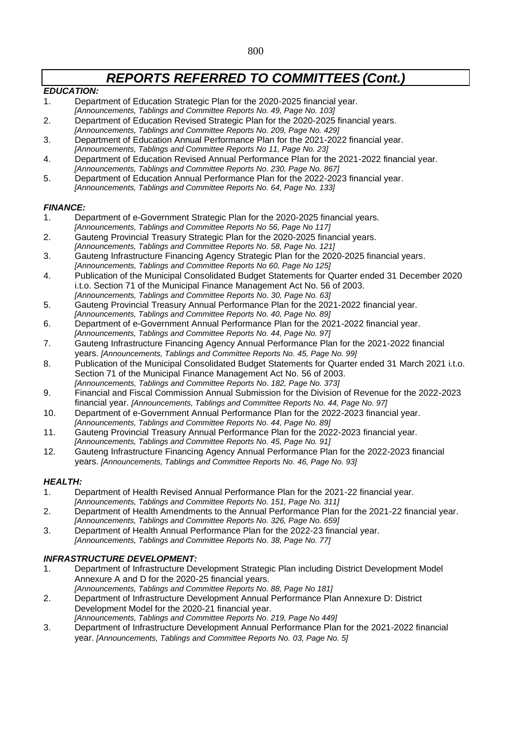### *EDUCATION:*

- 1. Department of Education Strategic Plan for the 2020-2025 financial year. *[Announcements, Tablings and Committee Reports No. 49, Page No. 103]*
- 2. Department of Education Revised Strategic Plan for the 2020-2025 financial years.
- *[Announcements, Tablings and Committee Reports No. 209, Page No. 429]* 3. Department of Education Annual Performance Plan for the 2021-2022 financial year.
- *[Announcements, Tablings and Committee Reports No 11, Page No. 23]*
- 4. Department of Education Revised Annual Performance Plan for the 2021-2022 financial year. *[Announcements, Tablings and Committee Reports No. 230, Page No. 867]*
- 5. Department of Education Annual Performance Plan for the 2022-2023 financial year. *[Announcements, Tablings and Committee Reports No. 64, Page No. 133]*

### *FINANCE:*

- 1. Department of e-Government Strategic Plan for the 2020-2025 financial years. *[Announcements, Tablings and Committee Reports No 56, Page No 117]*
- 2. Gauteng Provincial Treasury Strategic Plan for the 2020-2025 financial years. *[Announcements, Tablings and Committee Reports No. 58, Page No. 121]*
- 3. Gauteng Infrastructure Financing Agency Strategic Plan for the 2020-2025 financial years. *[Announcements, Tablings and Committee Reports No 60, Page No 125]*
- 4. Publication of the Municipal Consolidated Budget Statements for Quarter ended 31 December 2020 i.t.o. Section 71 of the Municipal Finance Management Act No. 56 of 2003. *[Announcements, Tablings and Committee Reports No. 30, Page No. 63]*
- 5. Gauteng Provincial Treasury Annual Performance Plan for the 2021-2022 financial year.
- *[Announcements, Tablings and Committee Reports No. 40, Page No. 89]* 6. Department of e-Government Annual Performance Plan for the 2021-2022 financial year.
- *[Announcements, Tablings and Committee Reports No. 44, Page No. 97]*
- 7. Gauteng Infrastructure Financing Agency Annual Performance Plan for the 2021-2022 financial years. *[Announcements, Tablings and Committee Reports No. 45, Page No. 99]*
- 8. Publication of the Municipal Consolidated Budget Statements for Quarter ended 31 March 2021 i.t.o. Section 71 of the Municipal Finance Management Act No. 56 of 2003. *[Announcements, Tablings and Committee Reports No. 182, Page No. 373]*
- 9. Financial and Fiscal Commission Annual Submission for the Division of Revenue for the 2022-2023 financial year. *[Announcements, Tablings and Committee Reports No. 44, Page No. 97]*
- 10. Department of e-Government Annual Performance Plan for the 2022-2023 financial year. *[Announcements, Tablings and Committee Reports No. 44, Page No. 89]*
- 11. Gauteng Provincial Treasury Annual Performance Plan for the 2022-2023 financial year. *[Announcements, Tablings and Committee Reports No. 45, Page No. 91]*
- 12. Gauteng Infrastructure Financing Agency Annual Performance Plan for the 2022-2023 financial years. *[Announcements, Tablings and Committee Reports No. 46, Page No. 93]*

### *HEALTH:*

- 1. Department of Health Revised Annual Performance Plan for the 2021-22 financial year.
- *[Announcements, Tablings and Committee Reports No. 151, Page No. 311]*
- 2. Department of Health Amendments to the Annual Performance Plan for the 2021-22 financial year. *[Announcements, Tablings and Committee Reports No. 326, Page No. 659]*
- 3. Department of Health Annual Performance Plan for the 2022-23 financial year. *[Announcements, Tablings and Committee Reports No. 38, Page No. 77]*

### *INFRASTRUCTURE DEVELOPMENT:*

- 1. Department of Infrastructure Development Strategic Plan including District Development Model Annexure A and D for the 2020-25 financial years.
- *[Announcements, Tablings and Committee Reports No. 88, Page No 181]* 2. Department of Infrastructure Development Annual Performance Plan Annexure D: District Development Model for the 2020-21 financial year.
- *[Announcements, Tablings and Committee Reports No. 219, Page No 449]*
- 3. Department of Infrastructure Development Annual Performance Plan for the 2021-2022 financial year. *[Announcements, Tablings and Committee Reports No. 03, Page No. 5]*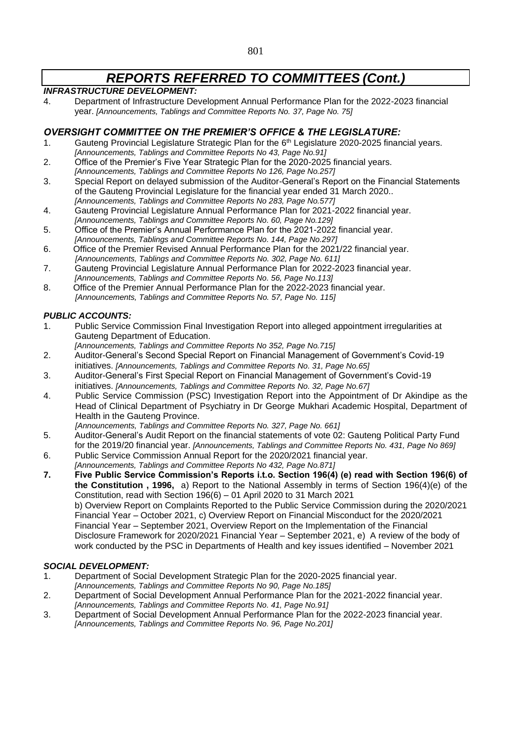### *INFRASTRUCTURE DEVELOPMENT:*

4. Department of Infrastructure Development Annual Performance Plan for the 2022-2023 financial year. *[Announcements, Tablings and Committee Reports No. 37, Page No. 75]*

## *OVERSIGHT COMMITTEE ON THE PREMIER'S OFFICE & THE LEGISLATURE:*

- 1. Gauteng Provincial Legislature Strategic Plan for the  $6<sup>th</sup>$  Legislature 2020-2025 financial years. *[Announcements, Tablings and Committee Reports No 43, Page No.91]*
- 2. Office of the Premier's Five Year Strategic Plan for the 2020-2025 financial years. *[Announcements, Tablings and Committee Reports No 126, Page No.257]*
- 3. Special Report on delayed submission of the Auditor-General's Report on the Financial Statements of the Gauteng Provincial Legislature for the financial year ended 31 March 2020.. *[Announcements, Tablings and Committee Reports No 283, Page No.577]*
- 4. Gauteng Provincial Legislature Annual Performance Plan for 2021-2022 financial year. *[Announcements, Tablings and Committee Reports No. 60, Page No.129]*
- 5. Office of the Premier's Annual Performance Plan for the 2021-2022 financial year. *[Announcements, Tablings and Committee Reports No. 144, Page No.297]*
- 6. Office of the Premier Revised Annual Performance Plan for the 2021/22 financial year. *[Announcements, Tablings and Committee Reports No. 302, Page No. 611]*
- 7. Gauteng Provincial Legislature Annual Performance Plan for 2022-2023 financial year. *[Announcements, Tablings and Committee Reports No. 56, Page No.113]*
- 8. Office of the Premier Annual Performance Plan for the 2022-2023 financial year. *[Announcements, Tablings and Committee Reports No. 57, Page No. 115]*

### *PUBLIC ACCOUNTS:*

- 1. Public Service Commission Final Investigation Report into alleged appointment irregularities at Gauteng Department of Education.
	- *[Announcements, Tablings and Committee Reports No 352, Page No.715]*
- 2. Auditor-General's Second Special Report on Financial Management of Government's Covid-19 initiatives. *[Announcements, Tablings and Committee Reports No. 31, Page No.65]*
- 3. Auditor-General's First Special Report on Financial Management of Government's Covid-19 initiatives. *[Announcements, Tablings and Committee Reports No. 32, Page No.67]*
- 4. Public Service Commission (PSC) Investigation Report into the Appointment of Dr Akindipe as the Head of Clinical Department of Psychiatry in Dr George Mukhari Academic Hospital, Department of Health in the Gauteng Province.

*[Announcements, Tablings and Committee Reports No. 327, Page No. 661]*

- 5. Auditor-General's Audit Report on the financial statements of vote 02: Gauteng Political Party Fund for the 2019/20 financial year. *[Announcements, Tablings and Committee Reports No. 431, Page No 869]*
- 6. Public Service Commission Annual Report for the 2020/2021 financial year.
- *[Announcements, Tablings and Committee Reports No 432, Page No.871]*
- **7. Five Public Service Commission's Reports i.t.o. Section 196(4) (e) read with Section 196(6) of the Constitution , 1996,** a) Report to the National Assembly in terms of Section 196(4)(e) of the Constitution, read with Section 196(6) – 01 April 2020 to 31 March 2021 b) Overview Report on Complaints Reported to the Public Service Commission during the 2020/2021 Financial Year – October 2021, c) Overview Report on Financial Misconduct for the 2020/2021 Financial Year – September 2021, Overview Report on the Implementation of the Financial Disclosure Framework for 2020/2021 Financial Year – September 2021, e) A review of the body of work conducted by the PSC in Departments of Health and key issues identified – November 2021

### *SOCIAL DEVELOPMENT:*

- 1. Department of Social Development Strategic Plan for the 2020-2025 financial year. *[Announcements, Tablings and Committee Reports No 90, Page No.185]*
- 2. Department of Social Development Annual Performance Plan for the 2021-2022 financial year. *[Announcements, Tablings and Committee Reports No. 41, Page No.91]*
- 3. Department of Social Development Annual Performance Plan for the 2022-2023 financial year. *[Announcements, Tablings and Committee Reports No. 96, Page No.201]*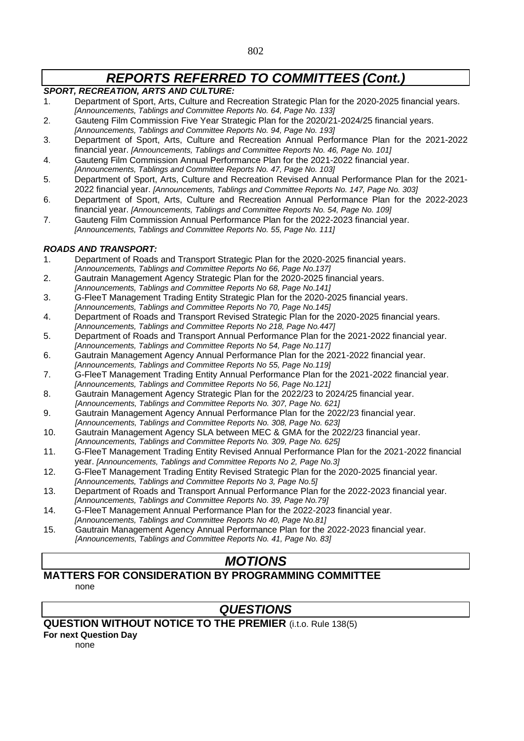## *SPORT, RECREATION, ARTS AND CULTURE:*

- 1. Department of Sport, Arts, Culture and Recreation Strategic Plan for the 2020-2025 financial years. *[Announcements, Tablings and Committee Reports No. 64, Page No. 133]*
- 2. Gauteng Film Commission Five Year Strategic Plan for the 2020/21-2024/25 financial years.
- *[Announcements, Tablings and Committee Reports No. 94, Page No. 193]*
- 3. Department of Sport, Arts, Culture and Recreation Annual Performance Plan for the 2021-2022 financial year. *[Announcements, Tablings and Committee Reports No. 46, Page No. 101]*
- 4. Gauteng Film Commission Annual Performance Plan for the 2021-2022 financial year. *[Announcements, Tablings and Committee Reports No. 47, Page No. 103]*
- 5. Department of Sport, Arts, Culture and Recreation Revised Annual Performance Plan for the 2021- 2022 financial year. *[Announcements, Tablings and Committee Reports No. 147, Page No. 303]*
- 6. Department of Sport, Arts, Culture and Recreation Annual Performance Plan for the 2022-2023 financial year. *[Announcements, Tablings and Committee Reports No. 54, Page No. 109]*
- 7. Gauteng Film Commission Annual Performance Plan for the 2022-2023 financial year. *[Announcements, Tablings and Committee Reports No. 55, Page No. 111]*

### *ROADS AND TRANSPORT:*

- 1. Department of Roads and Transport Strategic Plan for the 2020-2025 financial years. *[Announcements, Tablings and Committee Reports No 66, Page No.137]*
- 2. Gautrain Management Agency Strategic Plan for the 2020-2025 financial years. *[Announcements, Tablings and Committee Reports No 68, Page No.141]*
- 3. G-FleeT Management Trading Entity Strategic Plan for the 2020-2025 financial years. *[Announcements, Tablings and Committee Reports No 70, Page No.145]*
- 4. Department of Roads and Transport Revised Strategic Plan for the 2020-2025 financial years. *[Announcements, Tablings and Committee Reports No 218, Page No.447]*
- 5. Department of Roads and Transport Annual Performance Plan for the 2021-2022 financial year. *[Announcements, Tablings and Committee Reports No 54, Page No.117]*
- 6. Gautrain Management Agency Annual Performance Plan for the 2021-2022 financial year. *[Announcements, Tablings and Committee Reports No 55, Page No.119]*
- 7. G-FleeT Management Trading Entity Annual Performance Plan for the 2021-2022 financial year. *[Announcements, Tablings and Committee Reports No 56, Page No.121]*
- 8. Gautrain Management Agency Strategic Plan for the 2022/23 to 2024/25 financial year. *[Announcements, Tablings and Committee Reports No. 307, Page No. 621]*
- 9. Gautrain Management Agency Annual Performance Plan for the 2022/23 financial year. *[Announcements, Tablings and Committee Reports No. 308, Page No. 623]*
- 10. Gautrain Management Agency SLA between MEC & GMA for the 2022/23 financial year. *[Announcements, Tablings and Committee Reports No. 309, Page No. 625]*
- 11. G-FleeT Management Trading Entity Revised Annual Performance Plan for the 2021-2022 financial year. *[Announcements, Tablings and Committee Reports No 2, Page No.3]*
- 12. G-FleeT Management Trading Entity Revised Strategic Plan for the 2020-2025 financial year. *[Announcements, Tablings and Committee Reports No 3, Page No.5]*
- 13. Department of Roads and Transport Annual Performance Plan for the 2022-2023 financial year.
- *[Announcements, Tablings and Committee Reports No. 39, Page No.79]*
- 14. G-FleeT Management Annual Performance Plan for the 2022-2023 financial year. *[Announcements, Tablings and Committee Reports No 40, Page No.81]*
- 15. Gautrain Management Agency Annual Performance Plan for the 2022-2023 financial year. *[Announcements, Tablings and Committee Reports No. 41, Page No. 83]*

# *MOTIONS*

#### **MATTERS FOR CONSIDERATION BY PROGRAMMING COMMITTEE**  none

# *QUESTIONS*

### **QUESTION WITHOUT NOTICE TO THE PREMIER** (i.t.o. Rule 138(5)

**For next Question Day**

none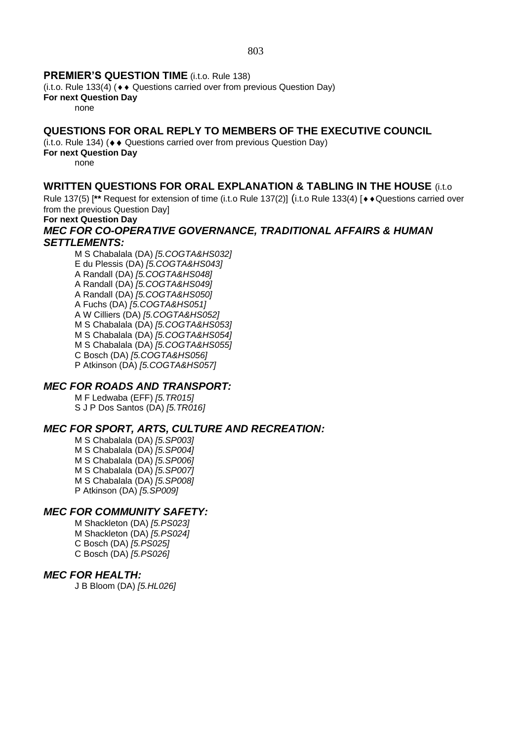## **PREMIER'S QUESTION TIME** (i.t.o. Rule 138)

(i.t.o. Rule 133(4) ( $\leftrightarrow$  Questions carried over from previous Question Day)

**For next Question Day**

none

# **QUESTIONS FOR ORAL REPLY TO MEMBERS OF THE EXECUTIVE COUNCIL**

 $(i.t. o. Rule 134)$  ( $\leftrightarrow$  Questions carried over from previous Question Day)

**For next Question Day**

none

# **WRITTEN QUESTIONS FOR ORAL EXPLANATION & TABLING IN THE HOUSE** (i.t.o

Rule 137(5) [<sup>\*\*</sup> Request for extension of time (i.t.o Rule 137(2)] (i.t.o Rule 133(4) [ $\leftrightarrow$  Questions carried over from the previous Question Day]

# **For next Question Day**

### *MEC FOR CO-OPERATIVE GOVERNANCE, TRADITIONAL AFFAIRS & HUMAN SETTLEMENTS:*

M S Chabalala (DA) *[5.COGTA&HS032]* E du Plessis (DA) *[5.COGTA&HS043]* A Randall (DA) *[5.COGTA&HS048]* A Randall (DA) *[5.COGTA&HS049]* A Randall (DA) *[5.COGTA&HS050]* A Fuchs (DA) *[5.COGTA&HS051]* A W Cilliers (DA) *[5.COGTA&HS052]* M S Chabalala (DA) *[5.COGTA&HS053]* M S Chabalala (DA) *[5.COGTA&HS054]* M S Chabalala (DA) *[5.COGTA&HS055]* C Bosch (DA) *[5.COGTA&HS056]* P Atkinson (DA) *[5.COGTA&HS057]*

# *MEC FOR ROADS AND TRANSPORT:*

M F Ledwaba (EFF) *[5.TR015]* S J P Dos Santos (DA) *[5.TR016]*

# *MEC FOR SPORT, ARTS, CULTURE AND RECREATION:*

M S Chabalala (DA) *[5.SP003]* M S Chabalala (DA) *[5.SP004]* M S Chabalala (DA) *[5.SP006]* M S Chabalala (DA) *[5.SP007]* M S Chabalala (DA) *[5.SP008]* P Atkinson (DA) *[5.SP009]*

### *MEC FOR COMMUNITY SAFETY:*

M Shackleton (DA) *[5.PS023]* M Shackleton (DA) *[5.PS024]* C Bosch (DA) *[5.PS025]* C Bosch (DA) *[5.PS026]*

### *MEC FOR HEALTH:*

J B Bloom (DA) *[5.HL026]*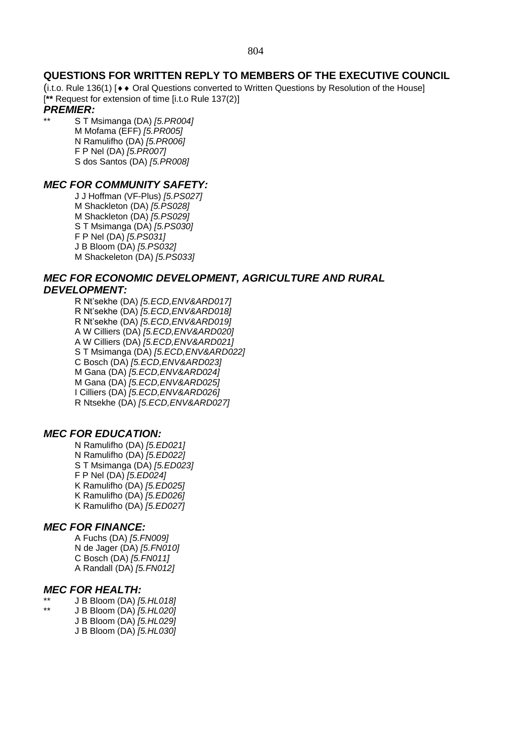### **QUESTIONS FOR WRITTEN REPLY TO MEMBERS OF THE EXECUTIVE COUNCIL**

(i.t.o. Rule 136(1)  $\leftrightarrow$  Oral Questions converted to Written Questions by Resolution of the House] [**\*\*** Request for extension of time [i.t.o Rule 137(2)]

### *PREMIER:*

\*\* S T Msimanga (DA) *[5.PR004]* M Mofama (EFF) *[5.PR005]* N Ramulifho (DA) *[5.PR006]* F P Nel (DA) *[5.PR007]* S dos Santos (DA) *[5.PR008]*

### *MEC FOR COMMUNITY SAFETY:*

J J Hoffman (VF-Plus) *[5.PS027]* M Shackleton (DA) *[5.PS028]* M Shackleton (DA) *[5.PS029]* S T Msimanga (DA) *[5.PS030]* F P Nel (DA) *[5.PS031]* J B Bloom (DA) *[5.PS032]* M Shackeleton (DA) *[5.PS033]*

### *MEC FOR ECONOMIC DEVELOPMENT, AGRICULTURE AND RURAL DEVELOPMENT:*

R Nt'sekhe (DA) *[5.ECD,ENV&ARD017]* R Nt'sekhe (DA) *[5.ECD,ENV&ARD018]* R Nt'sekhe (DA) *[5.ECD,ENV&ARD019]* A W Cilliers (DA) *[5.ECD,ENV&ARD020]* A W Cilliers (DA) *[5.ECD,ENV&ARD021]* S T Msimanga (DA) *[5.ECD,ENV&ARD022]* C Bosch (DA) *[5.ECD,ENV&ARD023]* M Gana (DA) *[5.ECD,ENV&ARD024]* M Gana (DA) *[5.ECD,ENV&ARD025]* I Cilliers (DA) *[5.ECD,ENV&ARD026]* R Ntsekhe (DA) *[5.ECD,ENV&ARD027]*

### *MEC FOR EDUCATION:*

N Ramulifho (DA) *[5.ED021]* N Ramulifho (DA) *[5.ED022]* S T Msimanga (DA) *[5.ED023]* F P Nel (DA) *[5.ED024]* K Ramulifho (DA) *[5.ED025]* K Ramulifho (DA) *[5.ED026]* K Ramulifho (DA) *[5.ED027]*

### *MEC FOR FINANCE:*

A Fuchs (DA) *[5.FN009]* N de Jager (DA) *[5.FN010]* C Bosch (DA) *[5.FN011]* A Randall (DA) *[5.FN012]*

### *MEC FOR HEALTH:*

- \*\* J B Bloom (DA) *[5.HL018]*
	- \*\* J B Bloom (DA) *[5.HL020]*
		- J B Bloom (DA) *[5.HL029]* J B Bloom (DA) *[5.HL030]*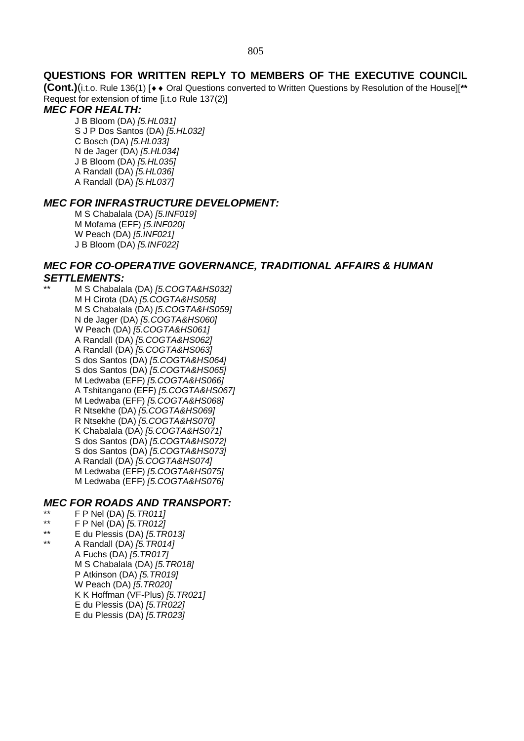### **QUESTIONS FOR WRITTEN REPLY TO MEMBERS OF THE EXECUTIVE COUNCIL**

**(Cont.)**(i.t.o. Rule 136(1) [◆◆ Oral Questions converted to Written Questions by Resolution of the House][\*\* Request for extension of time [i.t.o Rule 137(2)]

### *MEC FOR HEALTH:*

J B Bloom (DA) *[5.HL031]* S J P Dos Santos (DA) *[5.HL032]* C Bosch (DA) *[5.HL033]* N de Jager (DA) *[5.HL034]* J B Bloom (DA) *[5.HL035]* A Randall (DA) *[5.HL036]* A Randall (DA) *[5.HL037]*

#### *MEC FOR INFRASTRUCTURE DEVELOPMENT:*

M S Chabalala (DA) *[5.INF019]* M Mofama (EFF) *[5.INF020]* W Peach (DA) *[5.INF021]* J B Bloom (DA) *[5.INF022]*

### *MEC FOR CO-OPERATIVE GOVERNANCE, TRADITIONAL AFFAIRS & HUMAN SETTLEMENTS:*

\*\* M S Chabalala (DA) *[5.COGTA&HS032]* M H Cirota (DA) *[5.COGTA&HS058]* M S Chabalala (DA) *[5.COGTA&HS059]* N de Jager (DA) *[5.COGTA&HS060]* W Peach (DA) *[5.COGTA&HS061]* A Randall (DA) *[5.COGTA&HS062]* A Randall (DA) *[5.COGTA&HS063]* S dos Santos (DA) *[5.COGTA&HS064]* S dos Santos (DA) *[5.COGTA&HS065]* M Ledwaba (EFF) *[5.COGTA&HS066]* A Tshitangano (EFF) *[5.COGTA&HS067]* M Ledwaba (EFF) *[5.COGTA&HS068]* R Ntsekhe (DA) *[5.COGTA&HS069]* R Ntsekhe (DA) *[5.COGTA&HS070]* K Chabalala (DA) *[5.COGTA&HS071]* S dos Santos (DA) *[5.COGTA&HS072]* S dos Santos (DA) *[5.COGTA&HS073]* A Randall (DA) *[5.COGTA&HS074]* M Ledwaba (EFF) *[5.COGTA&HS075]* M Ledwaba (EFF) *[5.COGTA&HS076]*

### *MEC FOR ROADS AND TRANSPORT:*

- \*\* F P Nel (DA) *[5.TR011]*
- \*\* F P Nel (DA) *[5.TR012]*
- \*\* E du Plessis (DA) *[5.TR013]*
- \*\* A Randall (DA) *[5.TR014]* A Fuchs (DA) *[5.TR017]* M S Chabalala (DA) *[5.TR018]* P Atkinson (DA) *[5.TR019]* W Peach (DA) *[5.TR020]* K K Hoffman (VF-Plus) *[5.TR021]* E du Plessis (DA) *[5.TR022]* E du Plessis (DA) *[5.TR023]*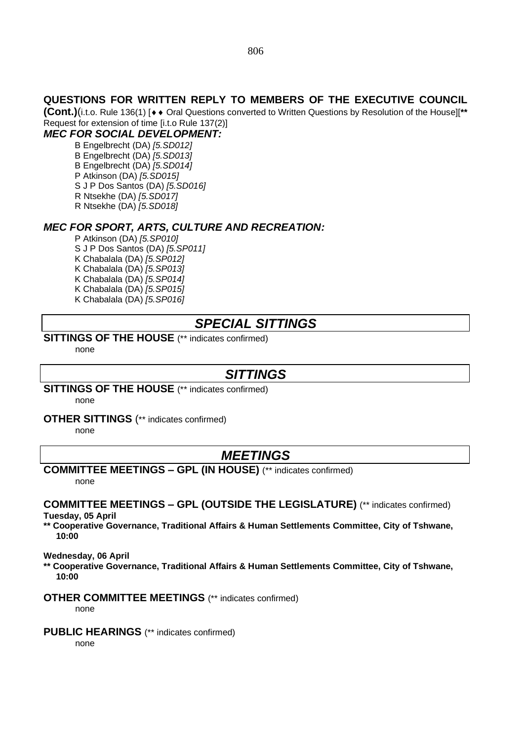### **QUESTIONS FOR WRITTEN REPLY TO MEMBERS OF THE EXECUTIVE COUNCIL**

**(Cont.)**(i.t.o. Rule 136(1) [◆◆ Oral Questions converted to Written Questions by Resolution of the House][\*\* Request for extension of time [i.t.o Rule 137(2)]

# *MEC FOR SOCIAL DEVELOPMENT:*

B Engelbrecht (DA) *[5.SD012]* B Engelbrecht (DA) *[5.SD013]* B Engelbrecht (DA) *[5.SD014]* P Atkinson (DA) *[5.SD015]* S J P Dos Santos (DA) *[5.SD016]* R Ntsekhe (DA) *[5.SD017]* R Ntsekhe (DA) *[5.SD018]*

### *MEC FOR SPORT, ARTS, CULTURE AND RECREATION:*

P Atkinson (DA) *[5.SP010]* S J P Dos Santos (DA) *[5.SP011]* K Chabalala (DA) *[5.SP012]* K Chabalala (DA) *[5.SP013]* K Chabalala (DA) *[5.SP014]* K Chabalala (DA) *[5.SP015]* K Chabalala (DA) *[5.SP016]*

# *SPECIAL SITTINGS*

### **SITTINGS OF THE HOUSE** (\*\* indicates confirmed)

none

# *SITTINGS*

**SITTINGS OF THE HOUSE** (\*\* indicates confirmed)

none

**OTHER SITTINGS** (\*\* indicates confirmed)

none

# *MEETINGS*

**COMMITTEE MEETINGS – GPL (IN HOUSE)** (\*\* indicates confirmed) none

#### **COMMITTEE MEETINGS – GPL (OUTSIDE THE LEGISLATURE)** (\*\* indicates confirmed) **Tuesday, 05 April**

**\*\* Cooperative Governance, Traditional Affairs & Human Settlements Committee, City of Tshwane, 10:00**

**Wednesday, 06 April**

**\*\* Cooperative Governance, Traditional Affairs & Human Settlements Committee, City of Tshwane, 10:00**

#### **OTHER COMMITTEE MEETINGS** (\*\* indicates confirmed)

none

#### **PUBLIC HEARINGS** (\*\* indicates confirmed)

none